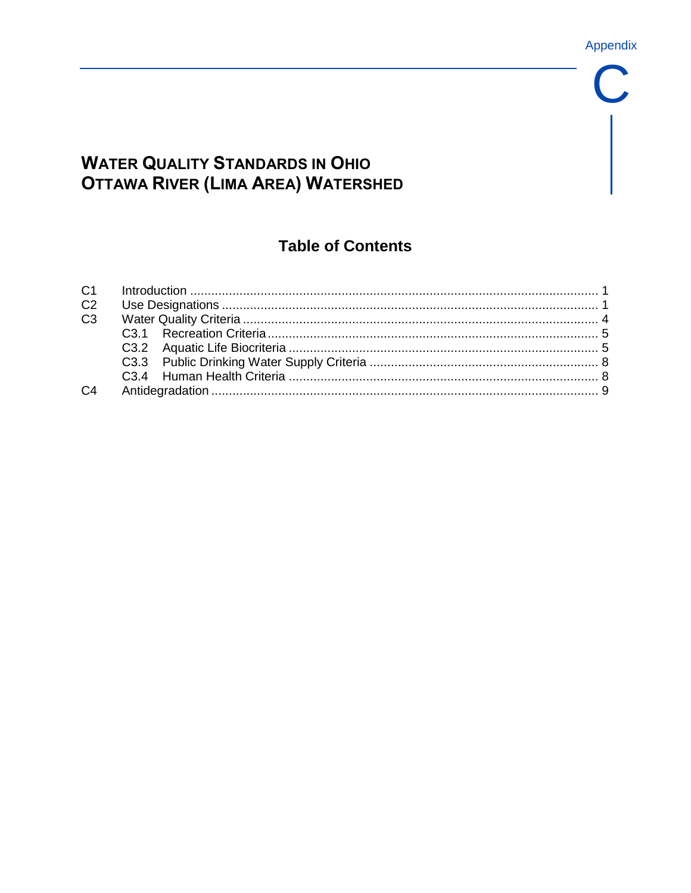Appendix

 $\mathbf C$ 

# **WATER QUALITY STANDARDS IN OHIO OTTAWA RIVER (LIMA AREA) WATERSHED**

# **Table of Contents**

| C <sub>2</sub> |  |
|----------------|--|
| C <sub>3</sub> |  |
|                |  |
|                |  |
|                |  |
|                |  |
| C <sub>4</sub> |  |
|                |  |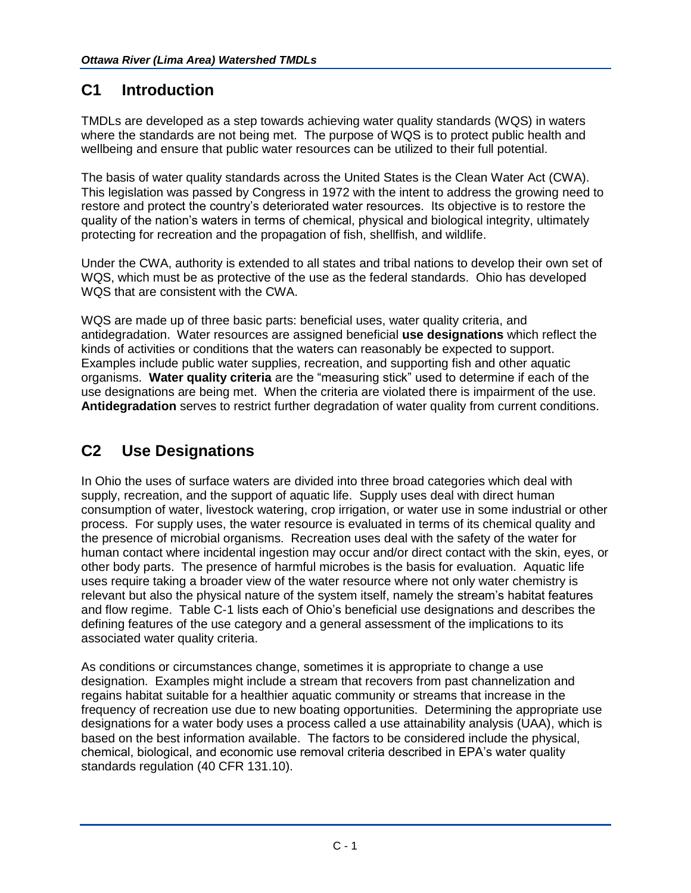## **C1 Introduction**

TMDLs are developed as a step towards achieving water quality standards (WQS) in waters where the standards are not being met. The purpose of WQS is to protect public health and wellbeing and ensure that public water resources can be utilized to their full potential.

The basis of water quality standards across the United States is the Clean Water Act (CWA). This legislation was passed by Congress in 1972 with the intent to address the growing need to restore and protect the country's deteriorated water resources. Its objective is to restore the quality of the nation's waters in terms of chemical, physical and biological integrity, ultimately protecting for recreation and the propagation of fish, shellfish, and wildlife.

Under the CWA, authority is extended to all states and tribal nations to develop their own set of WQS, which must be as protective of the use as the federal standards. Ohio has developed WQS that are consistent with the CWA.

WQS are made up of three basic parts: beneficial uses, water quality criteria, and antidegradation. Water resources are assigned beneficial **use designations** which reflect the kinds of activities or conditions that the waters can reasonably be expected to support. Examples include public water supplies, recreation, and supporting fish and other aquatic organisms. **Water quality criteria** are the "measuring stick" used to determine if each of the use designations are being met. When the criteria are violated there is impairment of the use. **Antidegradation** serves to restrict further degradation of water quality from current conditions.

## **C2 Use Designations**

In Ohio the uses of surface waters are divided into three broad categories which deal with supply, recreation, and the support of aquatic life. Supply uses deal with direct human consumption of water, livestock watering, crop irrigation, or water use in some industrial or other process. For supply uses, the water resource is evaluated in terms of its chemical quality and the presence of microbial organisms. Recreation uses deal with the safety of the water for human contact where incidental ingestion may occur and/or direct contact with the skin, eyes, or other body parts. The presence of harmful microbes is the basis for evaluation. Aquatic life uses require taking a broader view of the water resource where not only water chemistry is relevant but also the physical nature of the system itself, namely the stream's habitat features and flow regime. Table C-1 lists each of Ohio's beneficial use designations and describes the defining features of the use category and a general assessment of the implications to its associated water quality criteria.

As conditions or circumstances change, sometimes it is appropriate to change a use designation. Examples might include a stream that recovers from past channelization and regains habitat suitable for a healthier aquatic community or streams that increase in the frequency of recreation use due to new boating opportunities. Determining the appropriate use designations for a water body uses a process called a use attainability analysis (UAA), which is based on the best information available. The factors to be considered include the physical, chemical, biological, and economic use removal criteria described in EPA's water quality standards regulation (40 CFR 131.10).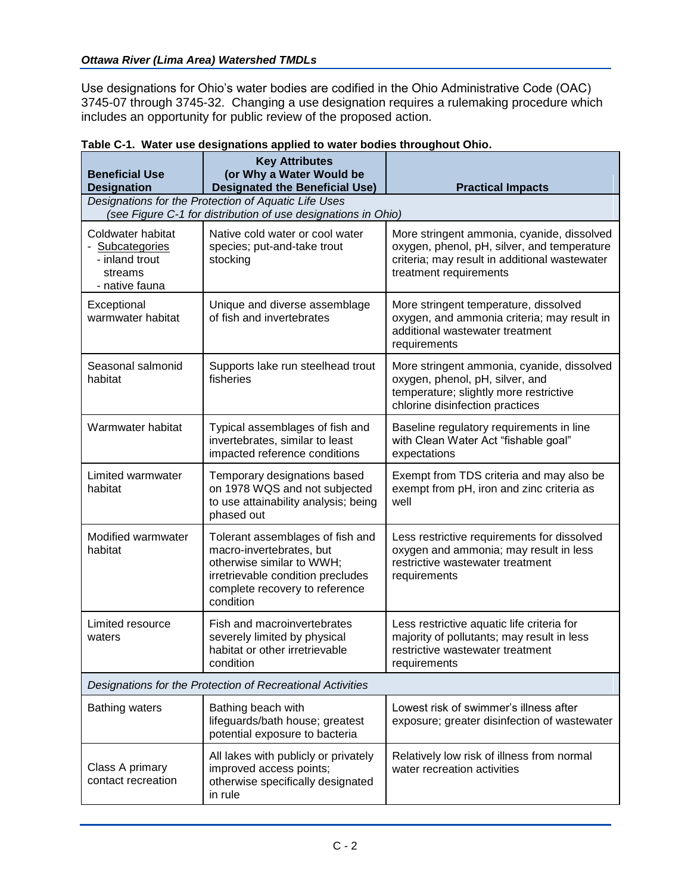#### *Ottawa River (Lima Area) Watershed TMDLs*

Use designations for Ohio's water bodies are codified in the Ohio Administrative Code (OAC) 3745-07 through 3745-32. Changing a use designation requires a rulemaking procedure which includes an opportunity for public review of the proposed action.

| <b>Beneficial Use</b><br><b>Designation</b>                                         | <b>Key Attributes</b><br>(or Why a Water Would be<br><b>Designated the Beneficial Use)</b>                                                                                    | <b>Practical Impacts</b>                                                                                                                                             |  |  |
|-------------------------------------------------------------------------------------|-------------------------------------------------------------------------------------------------------------------------------------------------------------------------------|----------------------------------------------------------------------------------------------------------------------------------------------------------------------|--|--|
|                                                                                     | Designations for the Protection of Aquatic Life Uses<br>(see Figure C-1 for distribution of use designations in Ohio)                                                         |                                                                                                                                                                      |  |  |
| Coldwater habitat<br>- Subcategories<br>- inland trout<br>streams<br>- native fauna | Native cold water or cool water<br>species; put-and-take trout<br>stocking                                                                                                    | More stringent ammonia, cyanide, dissolved<br>oxygen, phenol, pH, silver, and temperature<br>criteria; may result in additional wastewater<br>treatment requirements |  |  |
| Exceptional<br>warmwater habitat                                                    | Unique and diverse assemblage<br>of fish and invertebrates                                                                                                                    | More stringent temperature, dissolved<br>oxygen, and ammonia criteria; may result in<br>additional wastewater treatment<br>requirements                              |  |  |
| Seasonal salmonid<br>habitat                                                        | Supports lake run steelhead trout<br>fisheries                                                                                                                                | More stringent ammonia, cyanide, dissolved<br>oxygen, phenol, pH, silver, and<br>temperature; slightly more restrictive<br>chlorine disinfection practices           |  |  |
| Warmwater habitat                                                                   | Typical assemblages of fish and<br>invertebrates, similar to least<br>impacted reference conditions                                                                           | Baseline regulatory requirements in line<br>with Clean Water Act "fishable goal"<br>expectations                                                                     |  |  |
| Limited warmwater<br>habitat                                                        | Temporary designations based<br>on 1978 WQS and not subjected<br>to use attainability analysis; being<br>phased out                                                           | Exempt from TDS criteria and may also be<br>exempt from pH, iron and zinc criteria as<br>well                                                                        |  |  |
| Modified warmwater<br>habitat                                                       | Tolerant assemblages of fish and<br>macro-invertebrates, but<br>otherwise similar to WWH;<br>irretrievable condition precludes<br>complete recovery to reference<br>condition | Less restrictive requirements for dissolved<br>oxygen and ammonia; may result in less<br>restrictive wastewater treatment<br>requirements                            |  |  |
| Limited resource<br>waters                                                          | Fish and macroinvertebrates<br>severely limited by physical<br>habitat or other irretrievable<br>condition                                                                    | Less restrictive aquatic life criteria for<br>majority of pollutants; may result in less<br>restrictive wastewater treatment<br>requirements                         |  |  |
| Designations for the Protection of Recreational Activities                          |                                                                                                                                                                               |                                                                                                                                                                      |  |  |
| <b>Bathing waters</b>                                                               | Bathing beach with<br>lifeguards/bath house; greatest<br>potential exposure to bacteria                                                                                       | Lowest risk of swimmer's illness after<br>exposure; greater disinfection of wastewater                                                                               |  |  |
| Class A primary<br>contact recreation                                               | All lakes with publicly or privately<br>improved access points;<br>otherwise specifically designated<br>in rule                                                               | Relatively low risk of illness from normal<br>water recreation activities                                                                                            |  |  |

#### **Table C-1. Water use designations applied to water bodies throughout Ohio.**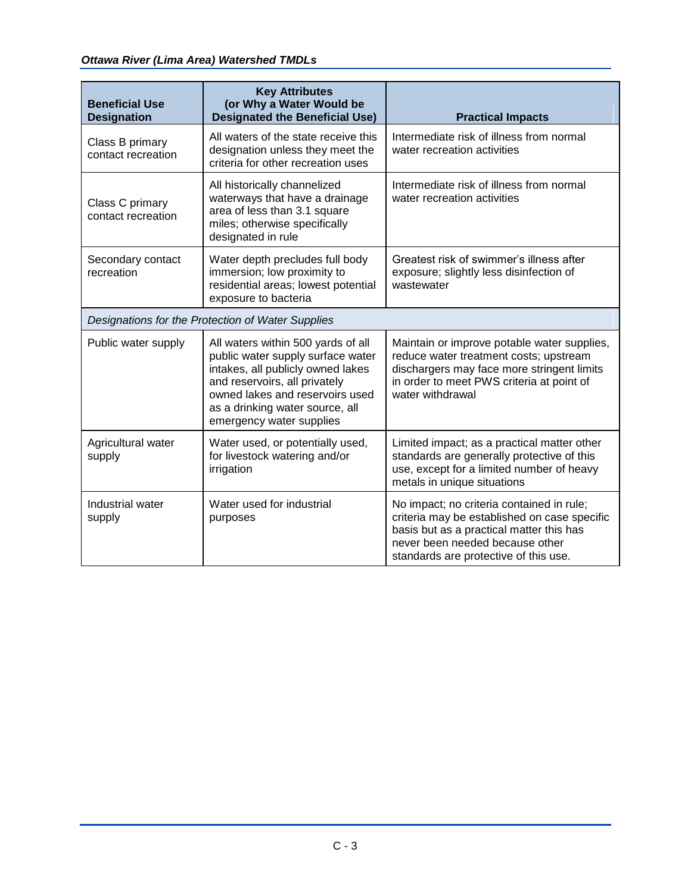| <b>Beneficial Use</b><br><b>Designation</b>       | <b>Key Attributes</b><br>(or Why a Water Would be<br><b>Designated the Beneficial Use)</b>                                                                                                                                                      | <b>Practical Impacts</b>                                                                                                                                                                                          |  |
|---------------------------------------------------|-------------------------------------------------------------------------------------------------------------------------------------------------------------------------------------------------------------------------------------------------|-------------------------------------------------------------------------------------------------------------------------------------------------------------------------------------------------------------------|--|
| Class B primary<br>contact recreation             | All waters of the state receive this<br>designation unless they meet the<br>criteria for other recreation uses                                                                                                                                  | Intermediate risk of illness from normal<br>water recreation activities                                                                                                                                           |  |
| Class C primary<br>contact recreation             | All historically channelized<br>waterways that have a drainage<br>area of less than 3.1 square<br>miles; otherwise specifically<br>designated in rule                                                                                           | Intermediate risk of illness from normal<br>water recreation activities                                                                                                                                           |  |
| Secondary contact<br>recreation                   | Water depth precludes full body<br>immersion; low proximity to<br>residential areas; lowest potential<br>exposure to bacteria                                                                                                                   | Greatest risk of swimmer's illness after<br>exposure; slightly less disinfection of<br>wastewater                                                                                                                 |  |
| Designations for the Protection of Water Supplies |                                                                                                                                                                                                                                                 |                                                                                                                                                                                                                   |  |
| Public water supply                               | All waters within 500 yards of all<br>public water supply surface water<br>intakes, all publicly owned lakes<br>and reservoirs, all privately<br>owned lakes and reservoirs used<br>as a drinking water source, all<br>emergency water supplies | Maintain or improve potable water supplies,<br>reduce water treatment costs; upstream<br>dischargers may face more stringent limits<br>in order to meet PWS criteria at point of<br>water withdrawal              |  |
| Agricultural water<br>supply                      | Water used, or potentially used,<br>for livestock watering and/or<br>irrigation                                                                                                                                                                 | Limited impact; as a practical matter other<br>standards are generally protective of this<br>use, except for a limited number of heavy<br>metals in unique situations                                             |  |
| Industrial water<br>supply                        | Water used for industrial<br>purposes                                                                                                                                                                                                           | No impact; no criteria contained in rule;<br>criteria may be established on case specific<br>basis but as a practical matter this has<br>never been needed because other<br>standards are protective of this use. |  |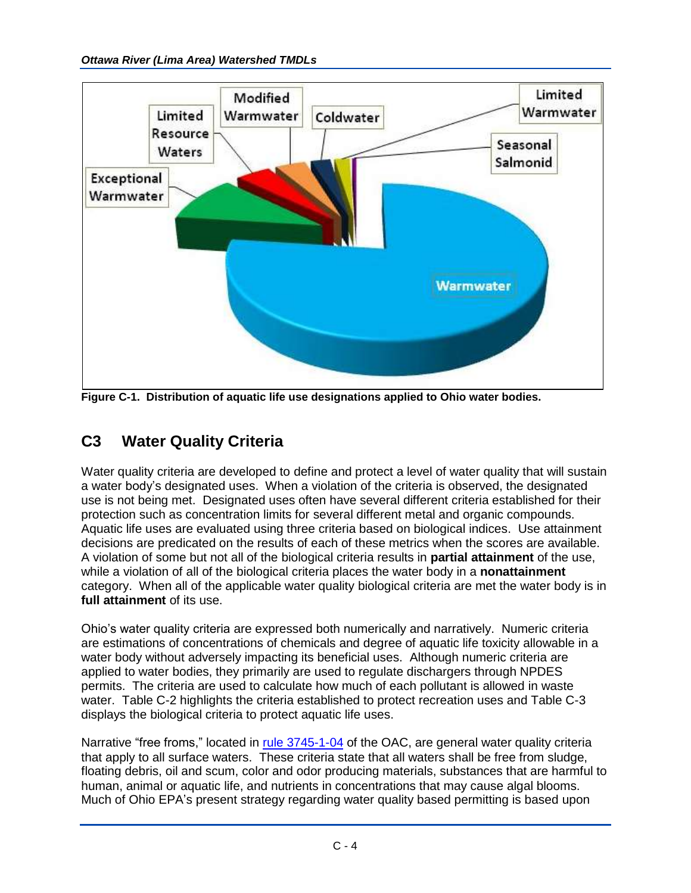

**Figure C-1. Distribution of aquatic life use designations applied to Ohio water bodies.**

## **C3 Water Quality Criteria**

Water quality criteria are developed to define and protect a level of water quality that will sustain a water body's designated uses. When a violation of the criteria is observed, the designated use is not being met. Designated uses often have several different criteria established for their protection such as concentration limits for several different metal and organic compounds. Aquatic life uses are evaluated using three criteria based on biological indices. Use attainment decisions are predicated on the results of each of these metrics when the scores are available. A violation of some but not all of the biological criteria results in **partial attainment** of the use, while a violation of all of the biological criteria places the water body in a **nonattainment** category. When all of the applicable water quality biological criteria are met the water body is in **full attainment** of its use.

Ohio's water quality criteria are expressed both numerically and narratively. Numeric criteria are estimations of concentrations of chemicals and degree of aquatic life toxicity allowable in a water body without adversely impacting its beneficial uses. Although numeric criteria are applied to water bodies, they primarily are used to regulate dischargers through NPDES permits. The criteria are used to calculate how much of each pollutant is allowed in waste water. Table C-2 highlights the criteria established to protect recreation uses and Table C-3 displays the biological criteria to protect aquatic life uses.

Narrative "free froms," located in [rule 3745-1-04](http://www.epa.state.oh.us/dsw/rules/01-04.pdf) of the OAC, are general water quality criteria that apply to all surface waters. These criteria state that all waters shall be free from sludge, floating debris, oil and scum, color and odor producing materials, substances that are harmful to human, animal or aquatic life, and nutrients in concentrations that may cause algal blooms. Much of Ohio EPA's present strategy regarding water quality based permitting is based upon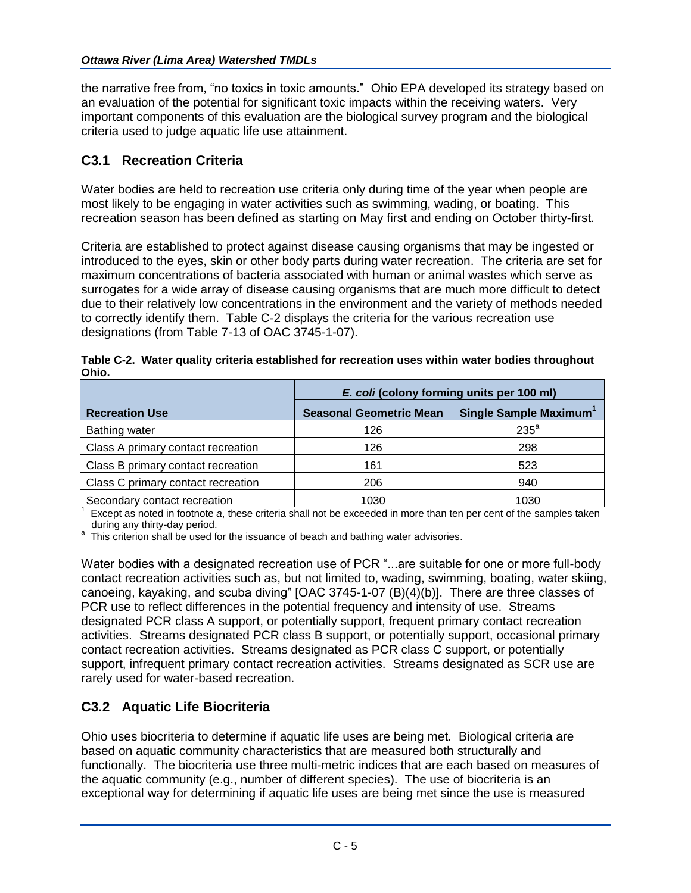the narrative free from, "no toxics in toxic amounts." Ohio EPA developed its strategy based on an evaluation of the potential for significant toxic impacts within the receiving waters. Very important components of this evaluation are the biological survey program and the biological criteria used to judge aquatic life use attainment.

### **C3.1 Recreation Criteria**

Water bodies are held to recreation use criteria only during time of the year when people are most likely to be engaging in water activities such as swimming, wading, or boating. This recreation season has been defined as starting on May first and ending on October thirty-first.

Criteria are established to protect against disease causing organisms that may be ingested or introduced to the eyes, skin or other body parts during water recreation. The criteria are set for maximum concentrations of bacteria associated with human or animal wastes which serve as surrogates for a wide array of disease causing organisms that are much more difficult to detect due to their relatively low concentrations in the environment and the variety of methods needed to correctly identify them. Table C-2 displays the criteria for the various recreation use designations (from Table 7-13 of OAC 3745-1-07).

|                                                                                                                                                    | E. coli (colony forming units per 100 ml) |                                    |  |
|----------------------------------------------------------------------------------------------------------------------------------------------------|-------------------------------------------|------------------------------------|--|
| <b>Recreation Use</b>                                                                                                                              | <b>Seasonal Geometric Mean</b>            | Single Sample Maximum <sup>1</sup> |  |
| Bathing water                                                                                                                                      | 126                                       | $235^a$                            |  |
| Class A primary contact recreation                                                                                                                 | 126                                       | 298                                |  |
| Class B primary contact recreation                                                                                                                 | 161                                       | 523                                |  |
| Class C primary contact recreation                                                                                                                 | 206                                       | 940                                |  |
| Secondary contact recreation<br>Expant as noted in footpate a those exiteria aboll not be expanded in more than ten per cent of the complex tolcon | 1030                                      | 1030                               |  |

|       | Table C-2. Water quality criteria established for recreation uses within water bodies throughout |
|-------|--------------------------------------------------------------------------------------------------|
| Ohio. |                                                                                                  |

Except as noted in footnote *a*, these criteria shall not be exceeded in more than ten per cent of the samples taken during any thirty-day period.

a This criterion shall be used for the issuance of beach and bathing water advisories.

Water bodies with a designated recreation use of PCR "...are suitable for one or more full-body contact recreation activities such as, but not limited to, wading, swimming, boating, water skiing, canoeing, kayaking, and scuba diving" [OAC 3745-1-07 (B)(4)(b)]. There are three classes of PCR use to reflect differences in the potential frequency and intensity of use. Streams designated PCR class A support, or potentially support, frequent primary contact recreation activities. Streams designated PCR class B support, or potentially support, occasional primary contact recreation activities. Streams designated as PCR class C support, or potentially support, infrequent primary contact recreation activities. Streams designated as SCR use are rarely used for water-based recreation.

### **C3.2 Aquatic Life Biocriteria**

Ohio uses biocriteria to determine if aquatic life uses are being met. Biological criteria are based on aquatic community characteristics that are measured both structurally and functionally. The biocriteria use three multi-metric indices that are each based on measures of the aquatic community (e.g., number of different species). The use of biocriteria is an exceptional way for determining if aquatic life uses are being met since the use is measured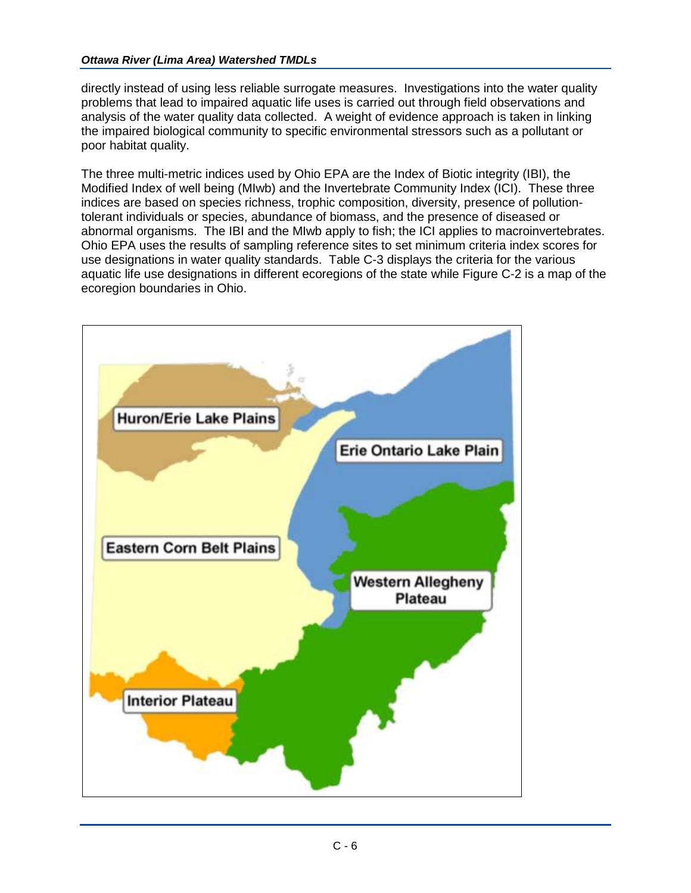#### *Ottawa River (Lima Area) Watershed TMDLs*

directly instead of using less reliable surrogate measures. Investigations into the water quality problems that lead to impaired aquatic life uses is carried out through field observations and analysis of the water quality data collected. A weight of evidence approach is taken in linking the impaired biological community to specific environmental stressors such as a pollutant or poor habitat quality.

The three multi-metric indices used by Ohio EPA are the Index of Biotic integrity (IBI), the Modified Index of well being (MIwb) and the Invertebrate Community Index (ICI). These three indices are based on species richness, trophic composition, diversity, presence of pollutiontolerant individuals or species, abundance of biomass, and the presence of diseased or abnormal organisms. The IBI and the MIwb apply to fish; the ICI applies to macroinvertebrates. Ohio EPA uses the results of sampling reference sites to set minimum criteria index scores for use designations in water quality standards. Table C-3 displays the criteria for the various aquatic life use designations in different ecoregions of the state while Figure C-2 is a map of the ecoregion boundaries in Ohio.

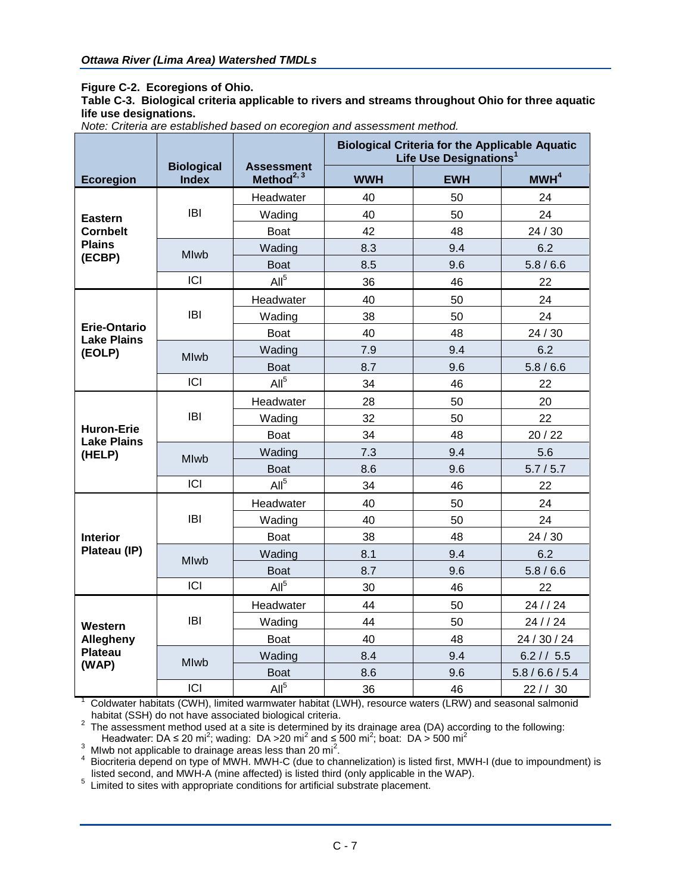#### **Figure C-2. Ecoregions of Ohio.**

**Table C-3. Biological criteria applicable to rivers and streams throughout Ohio for three aquatic life use designations.**

|  |  | Note: Criteria are established based on ecoregion and assessment method. |  |  |  |  |
|--|--|--------------------------------------------------------------------------|--|--|--|--|
|--|--|--------------------------------------------------------------------------|--|--|--|--|

|                                           | <b>Biological</b> | <b>Assessment</b> | <b>Biological Criteria for the Applicable Aquatic</b><br>Life Use Designations <sup>1</sup> |            |                  |
|-------------------------------------------|-------------------|-------------------|---------------------------------------------------------------------------------------------|------------|------------------|
| <b>Ecoregion</b>                          | <b>Index</b>      | Method $^{2, 3}$  | <b>WWH</b>                                                                                  | <b>EWH</b> | MWH <sup>4</sup> |
|                                           |                   | Headwater         | 40                                                                                          | 50         | 24               |
| <b>Eastern</b>                            | <b>IBI</b>        | Wading            | 40                                                                                          | 50         | 24               |
| <b>Cornbelt</b>                           |                   | <b>Boat</b>       | 42                                                                                          | 48         | 24 / 30          |
| <b>Plains</b>                             | Mlwb              | Wading            | 8.3                                                                                         | 9.4        | 6.2              |
| (ECBP)                                    |                   | <b>Boat</b>       | 8.5                                                                                         | 9.6        | 5.8/6.6          |
|                                           | ICI               | All <sup>5</sup>  | 36                                                                                          | 46         | 22               |
|                                           |                   | Headwater         | 40                                                                                          | 50         | 24               |
|                                           | <b>IBI</b>        | Wading            | 38                                                                                          | 50         | 24               |
| <b>Erie-Ontario</b><br><b>Lake Plains</b> |                   | <b>Boat</b>       | 40                                                                                          | 48         | 24 / 30          |
| (EOLP)                                    | <b>Mlwb</b>       | Wading            | 7.9                                                                                         | 9.4        | 6.2              |
|                                           |                   | <b>Boat</b>       | 8.7                                                                                         | 9.6        | 5.8 / 6.6        |
|                                           | <b>ICI</b>        | All <sup>5</sup>  | 34                                                                                          | 46         | 22               |
|                                           | IBI               | Headwater         | 28                                                                                          | 50         | 20               |
|                                           |                   | Wading            | 32                                                                                          | 50         | 22               |
| <b>Huron-Erie</b><br><b>Lake Plains</b>   |                   | <b>Boat</b>       | 34                                                                                          | 48         | 20/22            |
| (HELP)                                    | <b>Mlwb</b>       | Wading            | 7.3                                                                                         | 9.4        | 5.6              |
|                                           |                   | <b>Boat</b>       | 8.6                                                                                         | 9.6        | 5.7/5.7          |
|                                           | ICI               | All <sup>5</sup>  | 34                                                                                          | 46         | 22               |
|                                           |                   | Headwater         | 40                                                                                          | 50         | 24               |
|                                           | <b>IBI</b>        | Wading            | 40                                                                                          | 50         | 24               |
| <b>Interior</b>                           |                   | <b>Boat</b>       | 38                                                                                          | 48         | 24 / 30          |
| Plateau (IP)                              | <b>Mlwb</b>       | Wading            | 8.1                                                                                         | 9.4        | 6.2              |
|                                           |                   | <b>Boat</b>       | 8.7                                                                                         | 9.6        | 5.8/6.6          |
|                                           | ICI               | All <sup>5</sup>  | 30                                                                                          | 46         | 22               |
|                                           |                   | Headwater         | 44                                                                                          | 50         | 24 / / 24        |
| Western                                   | <b>IBI</b>        | Wading            | 44                                                                                          | 50         | 24 / / 24        |
| Allegheny                                 |                   | <b>Boat</b>       | 40                                                                                          | 48         | 24 / 30 / 24     |
| Plateau<br>(WAP)                          | <b>MIwb</b>       | Wading            | 8.4                                                                                         | 9.4        | 6.2 / / 5.5      |
|                                           |                   | <b>Boat</b>       | 8.6                                                                                         | 9.6        | 5.8 / 6.6 / 5.4  |
|                                           | ICI               | All <sup>5</sup>  | 36                                                                                          | 46         | $22$ / / 30      |

1 Coldwater habitats (CWH), limited warmwater habitat (LWH), resource waters (LRW) and seasonal salmonid habitat (SSH) do not have associated biological criteria.

 $2$  The assessment method used at a site is determined by its drainage area (DA) according to the following: Headwater: DA ≤ 20 mi<sup>2</sup>; wading: DA > 20 mi<sup>2</sup> and ≤ 500 mi<sup>2</sup>; boat: DA > 500 mi<sup>2</sup><br><sup>3</sup> Mlwb not applicable to drainage areas less than 20 mi<sup>2</sup>.

4 Biocriteria depend on type of MWH. MWH-C (due to channelization) is listed first, MWH-I (due to impoundment) is listed second, and MWH-A (mine affected) is listed third (only applicable in the WAP).

<sup>5</sup> Limited to sites with appropriate conditions for artificial substrate placement.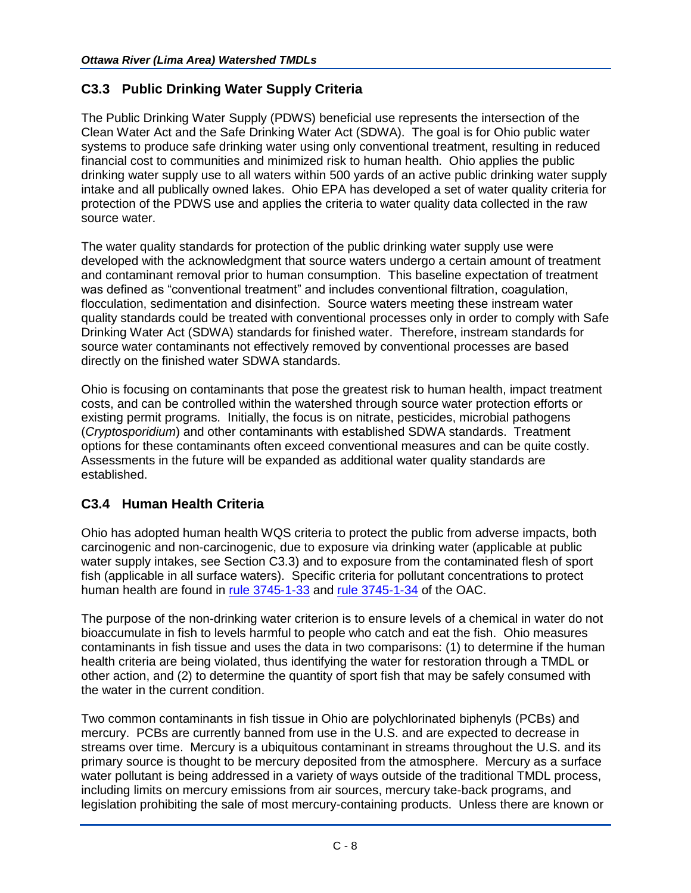### **C3.3 Public Drinking Water Supply Criteria**

The Public Drinking Water Supply (PDWS) beneficial use represents the intersection of the Clean Water Act and the Safe Drinking Water Act (SDWA). The goal is for Ohio public water systems to produce safe drinking water using only conventional treatment, resulting in reduced financial cost to communities and minimized risk to human health. Ohio applies the public drinking water supply use to all waters within 500 yards of an active public drinking water supply intake and all publically owned lakes. Ohio EPA has developed a set of water quality criteria for protection of the PDWS use and applies the criteria to water quality data collected in the raw source water.

The water quality standards for protection of the public drinking water supply use were developed with the acknowledgment that source waters undergo a certain amount of treatment and contaminant removal prior to human consumption. This baseline expectation of treatment was defined as "conventional treatment" and includes conventional filtration, coagulation, flocculation, sedimentation and disinfection. Source waters meeting these instream water quality standards could be treated with conventional processes only in order to comply with Safe Drinking Water Act (SDWA) standards for finished water. Therefore, instream standards for source water contaminants not effectively removed by conventional processes are based directly on the finished water SDWA standards.

Ohio is focusing on contaminants that pose the greatest risk to human health, impact treatment costs, and can be controlled within the watershed through source water protection efforts or existing permit programs. Initially, the focus is on nitrate, pesticides, microbial pathogens (*Cryptosporidium*) and other contaminants with established SDWA standards. Treatment options for these contaminants often exceed conventional measures and can be quite costly. Assessments in the future will be expanded as additional water quality standards are established.

### **C3.4 Human Health Criteria**

Ohio has adopted human health WQS criteria to protect the public from adverse impacts, both carcinogenic and non-carcinogenic, due to exposure via drinking water (applicable at public water supply intakes, see Section C3.3) and to exposure from the contaminated flesh of sport fish (applicable in all surface waters). Specific criteria for pollutant concentrations to protect human health are found in [rule 3745-1-33](http://www.epa.state.oh.us/portals/35/rules/01-33.pdf) and [rule 3745-1-34](http://www.epa.state.oh.us/portals/35/rules/01-34.pdf) of the OAC.

The purpose of the non-drinking water criterion is to ensure levels of a chemical in water do not bioaccumulate in fish to levels harmful to people who catch and eat the fish. Ohio measures contaminants in fish tissue and uses the data in two comparisons: (1) to determine if the human health criteria are being violated, thus identifying the water for restoration through a TMDL or other action, and (2) to determine the quantity of sport fish that may be safely consumed with the water in the current condition.

Two common contaminants in fish tissue in Ohio are polychlorinated biphenyls (PCBs) and mercury. PCBs are currently banned from use in the U.S. and are expected to decrease in streams over time. Mercury is a ubiquitous contaminant in streams throughout the U.S. and its primary source is thought to be mercury deposited from the atmosphere. Mercury as a surface water pollutant is being addressed in a variety of ways outside of the traditional TMDL process, including limits on mercury emissions from air sources, mercury take-back programs, and legislation prohibiting the sale of most mercury-containing products. Unless there are known or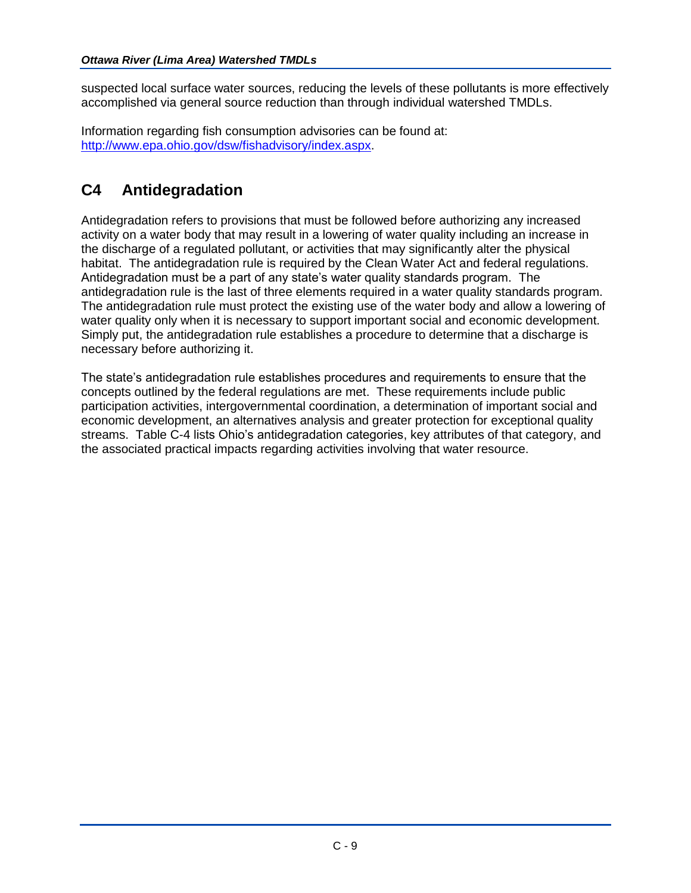suspected local surface water sources, reducing the levels of these pollutants is more effectively accomplished via general source reduction than through individual watershed TMDLs.

Information regarding fish consumption advisories can be found at: [http://www.epa.ohio.gov/dsw/fishadvisory/index.aspx.](http://www.epa.ohio.gov/dsw/fishadvisory/index.aspx)

## **C4 Antidegradation**

Antidegradation refers to provisions that must be followed before authorizing any increased activity on a water body that may result in a lowering of water quality including an increase in the discharge of a regulated pollutant, or activities that may significantly alter the physical habitat. The antidegradation rule is required by the Clean Water Act and federal regulations. Antidegradation must be a part of any state's water quality standards program. The antidegradation rule is the last of three elements required in a water quality standards program. The antidegradation rule must protect the existing use of the water body and allow a lowering of water quality only when it is necessary to support important social and economic development. Simply put, the antidegradation rule establishes a procedure to determine that a discharge is necessary before authorizing it.

The state's antidegradation rule establishes procedures and requirements to ensure that the concepts outlined by the federal regulations are met. These requirements include public participation activities, intergovernmental coordination, a determination of important social and economic development, an alternatives analysis and greater protection for exceptional quality streams. Table C-4 lists Ohio's antidegradation categories, key attributes of that category, and the associated practical impacts regarding activities involving that water resource.